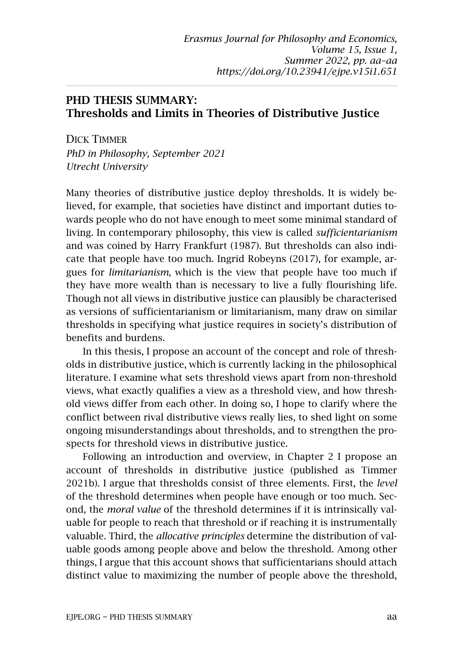## PHD THESIS SUMMARY: Thresholds and Limits in Theories of Distributive Justice

DICK TIMMER *PhD in Philosophy, September 2021 Utrecht University*

Many theories of distributive justice deploy thresholds. It is widely believed, for example, that societies have distinct and important duties towards people who do not have enough to meet some minimal standard of living. In contemporary philosophy, this view is called *sufficientarianism* and was coined by Harry Frankfurt (1987). But thresholds can also indicate that people have too much. Ingrid Robeyns (2017), for example, argues for *limitarianism*, which is the view that people have too much if they have more wealth than is necessary to live a fully flourishing life. Though not all views in distributive justice can plausibly be characterised as versions of sufficientarianism or limitarianism, many draw on similar thresholds in specifying what justice requires in society's distribution of benefits and burdens.

In this thesis, I propose an account of the concept and role of thresholds in distributive justice, which is currently lacking in the philosophical literature. I examine what sets threshold views apart from non-threshold views, what exactly qualifies a view as a threshold view, and how threshold views differ from each other. In doing so, I hope to clarify where the conflict between rival distributive views really lies, to shed light on some ongoing misunderstandings about thresholds, and to strengthen the prospects for threshold views in distributive justice.

Following an introduction and overview, in Chapter 2 I propose an account of thresholds in distributive justice (published as Timmer 2021b). I argue that thresholds consist of three elements. First, the *level* of the threshold determines when people have enough or too much. Second, the *moral value* of the threshold determines if it is intrinsically valuable for people to reach that threshold or if reaching it is instrumentally valuable. Third, the *allocative principles* determine the distribution of valuable goods among people above and below the threshold. Among other things, I argue that this account shows that sufficientarians should attach distinct value to maximizing the number of people above the threshold,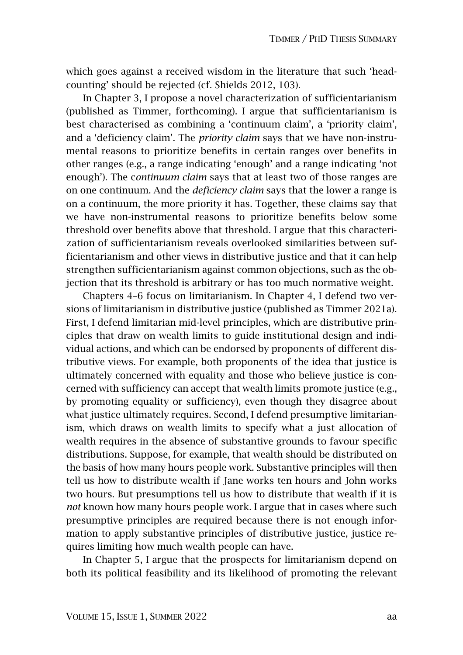which goes against a received wisdom in the literature that such 'headcounting' should be rejected (cf. Shields 2012, 103).

In Chapter 3, I propose a novel characterization of sufficientarianism (published as Timmer, forthcoming). I argue that sufficientarianism is best characterised as combining a 'continuum claim', a 'priority claim', and a 'deficiency claim'. The *priority claim* says that we have non-instrumental reasons to prioritize benefits in certain ranges over benefits in other ranges (e.g., a range indicating 'enough' and a range indicating 'not enough'). The c*ontinuum claim* says that at least two of those ranges are on one continuum. And the *deficiency claim* says that the lower a range is on a continuum, the more priority it has. Together, these claims say that we have non-instrumental reasons to prioritize benefits below some threshold over benefits above that threshold. I argue that this characterization of sufficientarianism reveals overlooked similarities between sufficientarianism and other views in distributive justice and that it can help strengthen sufficientarianism against common objections, such as the objection that its threshold is arbitrary or has too much normative weight.

Chapters 4–6 focus on limitarianism. In Chapter 4, I defend two versions of limitarianism in distributive justice (published as Timmer 2021a). First, I defend limitarian mid-level principles, which are distributive principles that draw on wealth limits to guide institutional design and individual actions, and which can be endorsed by proponents of different distributive views. For example, both proponents of the idea that justice is ultimately concerned with equality and those who believe justice is concerned with sufficiency can accept that wealth limits promote justice (e.g., by promoting equality or sufficiency), even though they disagree about what justice ultimately requires. Second, I defend presumptive limitarianism, which draws on wealth limits to specify what a just allocation of wealth requires in the absence of substantive grounds to favour specific distributions. Suppose, for example, that wealth should be distributed on the basis of how many hours people work. Substantive principles will then tell us how to distribute wealth if Jane works ten hours and John works two hours. But presumptions tell us how to distribute that wealth if it is *not* known how many hours people work. I argue that in cases where such presumptive principles are required because there is not enough information to apply substantive principles of distributive justice, justice requires limiting how much wealth people can have.

In Chapter 5, I argue that the prospects for limitarianism depend on both its political feasibility and its likelihood of promoting the relevant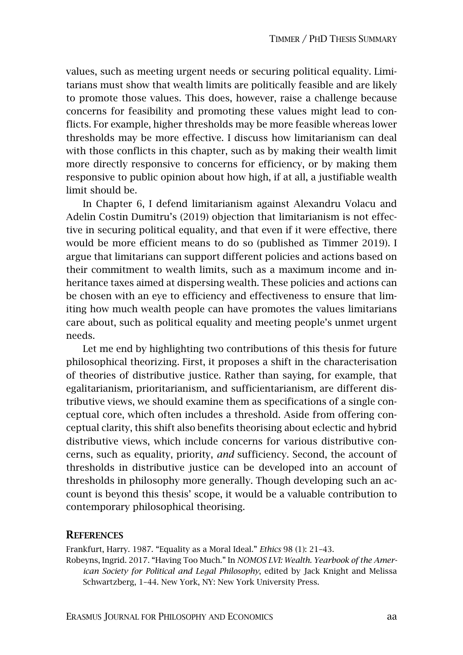values, such as meeting urgent needs or securing political equality. Limitarians must show that wealth limits are politically feasible and are likely to promote those values. This does, however, raise a challenge because concerns for feasibility and promoting these values might lead to conflicts. For example, higher thresholds may be more feasible whereas lower thresholds may be more effective. I discuss how limitarianism can deal with those conflicts in this chapter, such as by making their wealth limit more directly responsive to concerns for efficiency, or by making them responsive to public opinion about how high, if at all, a justifiable wealth limit should be.

In Chapter 6, I defend limitarianism against Alexandru Volacu and Adelin Costin Dumitru's (2019) objection that limitarianism is not effective in securing political equality, and that even if it were effective, there would be more efficient means to do so (published as Timmer 2019). I argue that limitarians can support different policies and actions based on their commitment to wealth limits, such as a maximum income and inheritance taxes aimed at dispersing wealth. These policies and actions can be chosen with an eye to efficiency and effectiveness to ensure that limiting how much wealth people can have promotes the values limitarians care about, such as political equality and meeting people's unmet urgent needs.

Let me end by highlighting two contributions of this thesis for future philosophical theorizing. First, it proposes a shift in the characterisation of theories of distributive justice. Rather than saying, for example, that egalitarianism, prioritarianism, and sufficientarianism, are different distributive views, we should examine them as specifications of a single conceptual core, which often includes a threshold. Aside from offering conceptual clarity, this shift also benefits theorising about eclectic and hybrid distributive views, which include concerns for various distributive concerns, such as equality, priority, *and* sufficiency. Second, the account of thresholds in distributive justice can be developed into an account of thresholds in philosophy more generally. Though developing such an account is beyond this thesis' scope, it would be a valuable contribution to contemporary philosophical theorising.

## **REFERENCES**

Frankfurt, Harry. 1987. "Equality as a Moral Ideal." *Ethics* 98 (1): 21–43.

Robeyns, Ingrid. 2017. "Having Too Much." In *NOMOS LVI: Wealth. Yearbook of the American Society for Political and Legal Philosophy*, edited by Jack Knight and Melissa Schwartzberg, 1–44. New York, NY: New York University Press.